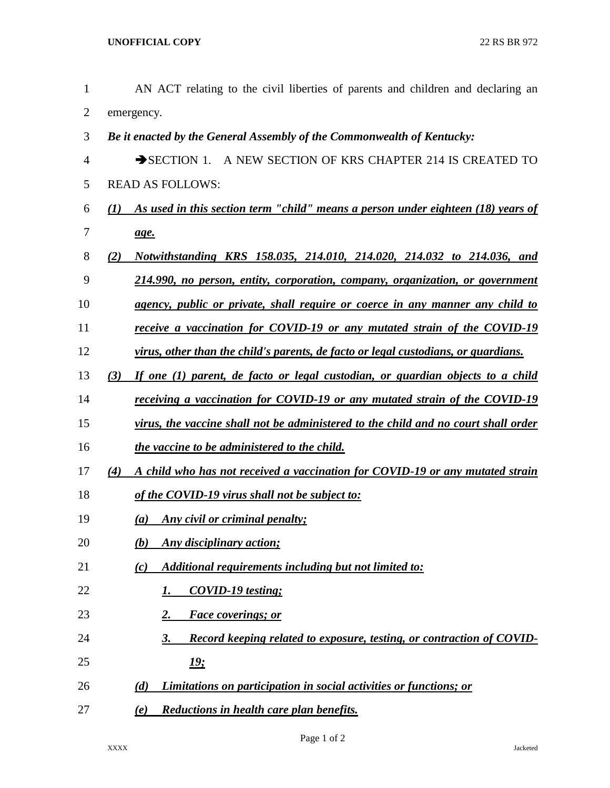| $\mathbf{1}$ | AN ACT relating to the civil liberties of parents and children and declaring an                      |
|--------------|------------------------------------------------------------------------------------------------------|
| 2            | emergency.                                                                                           |
| 3            | Be it enacted by the General Assembly of the Commonwealth of Kentucky:                               |
| 4            | SECTION 1. A NEW SECTION OF KRS CHAPTER 214 IS CREATED TO                                            |
| 5            | <b>READ AS FOLLOWS:</b>                                                                              |
| 6            | As used in this section term "child" means a person under eighteen (18) years of<br>$\mathcal{L}(I)$ |
| 7            | age.                                                                                                 |
| 8            | Notwithstanding KRS 158.035, 214.010, 214.020, 214.032 to 214.036, and<br>(2)                        |
| 9            | 214.990, no person, entity, corporation, company, organization, or government                        |
| 10           | agency, public or private, shall require or coerce in any manner any child to                        |
| 11           | receive a vaccination for COVID-19 or any mutated strain of the COVID-19                             |
| 12           | virus, other than the child's parents, de facto or legal custodians, or guardians.                   |
| 13           | If one (1) parent, de facto or legal custodian, or guardian objects to a child<br>(3)                |
| 14           | receiving a vaccination for COVID-19 or any mutated strain of the COVID-19                           |
| 15           | virus, the vaccine shall not be administered to the child and no court shall order                   |
| 16           | the vaccine to be administered to the child.                                                         |
| 17           | A child who has not received a vaccination for COVID-19 or any mutated strain<br>(4)                 |
| 18           | of the COVID-19 virus shall not be subject to:                                                       |
| 19           | (a) Any civil or criminal penalty;                                                                   |
| 20           | <b>Any disciplinary action;</b><br>(b)                                                               |
| 21           | Additional requirements including but not limited to:<br>(c)                                         |
| 22           | <b>COVID-19</b> testing;<br>I.                                                                       |
| 23           | <b>Face coverings; or</b><br><u>2.</u>                                                               |
| 24           | Record keeping related to exposure, testing, or contraction of COVID-<br><u>3.</u>                   |
| 25           | <u> 19:</u>                                                                                          |
| 26           | Limitations on participation in social activities or functions; or<br>(d)                            |
| 27           | Reductions in health care plan benefits.<br>(e)                                                      |